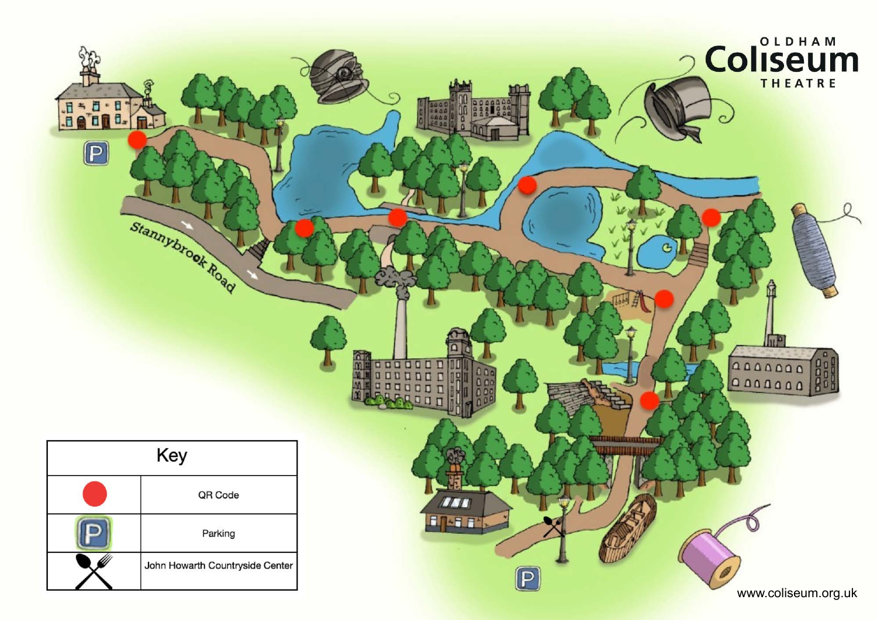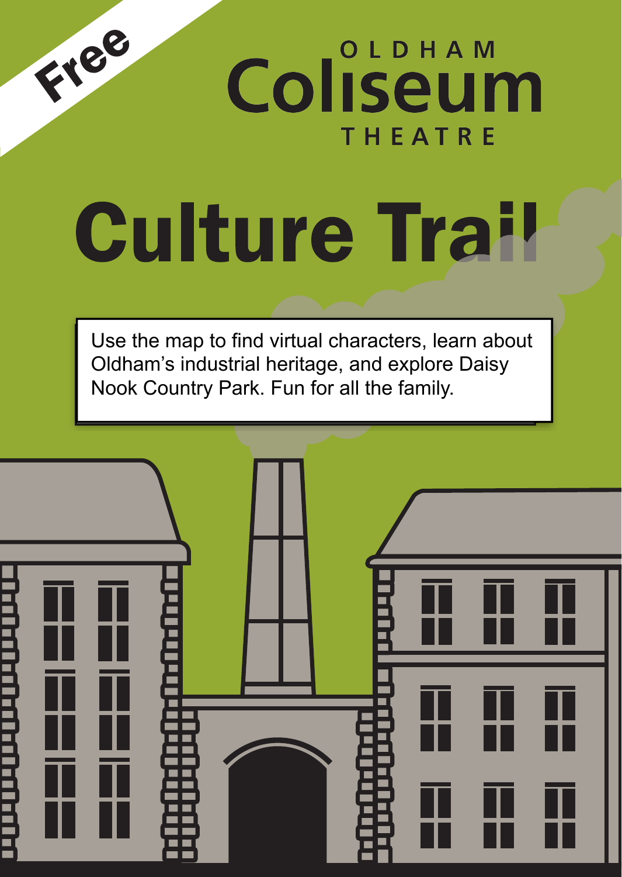

**Coliseum THEATRE** 

## $\sim$  which when  $\sim$ the Culture Trail. Share your thoughts on social media using a using a collection of the collection of the collection of the collection of the collection of the collection of the collection of the collection of the collection of the collection of the collection of

 $\overline{\phantom{a}}$ Use the map to find virtual characters, learn about Oldham's industrial heritage, and explore Daisy Nook Country Park. Fun for all the family.

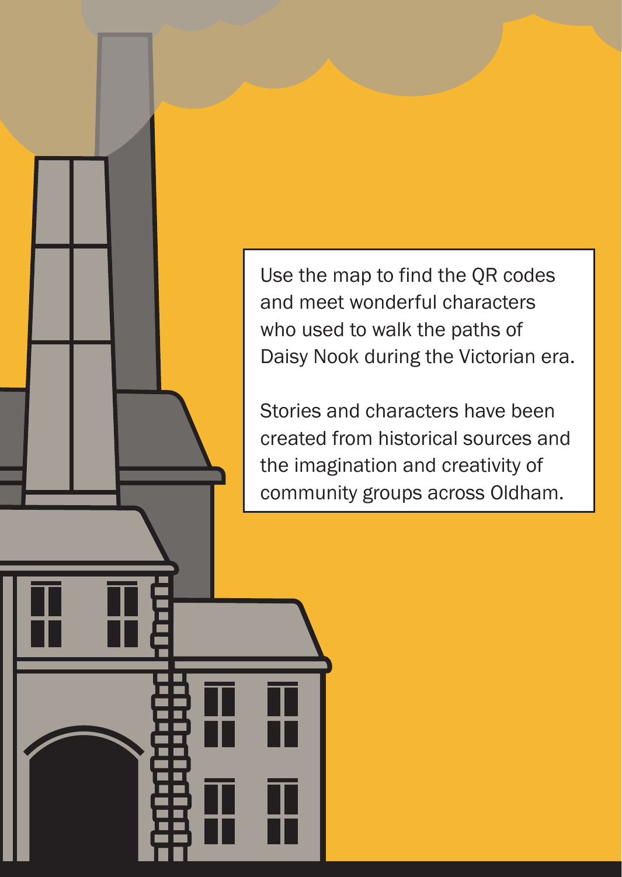Use the map to find the QR codes and meet wonderful characters who used to walk the paths of Daisy Nook during the Victorian era.

Stories and characters have been created from historical sources and the imagination and creativity of community groups across Oldham.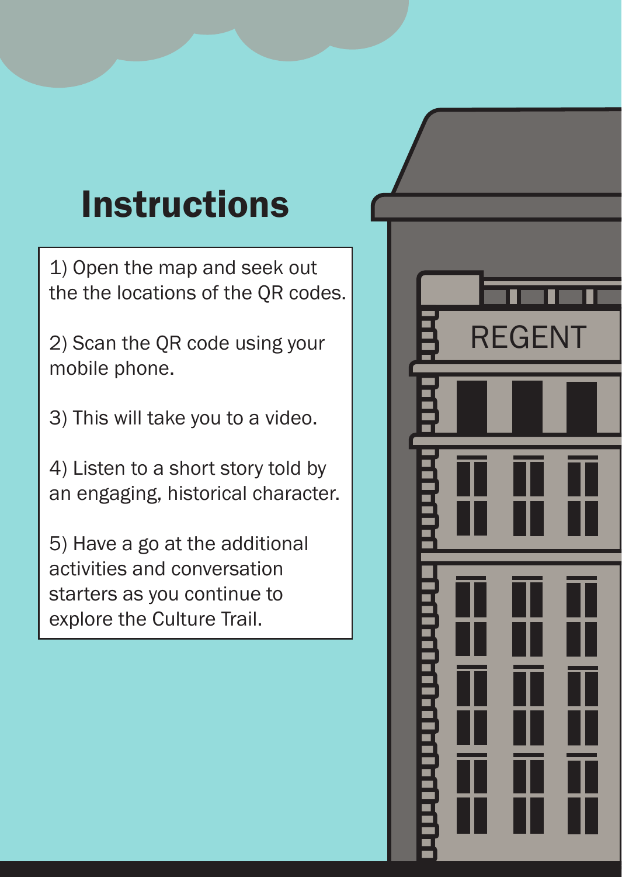## Instructions

1) Open the map and seek out the the locations of the QR codes.

2) Scan the QR code using your mobile phone.

3) This will take you to a video.

4) Listen to a short story told by an engaging, historical character.

5) Have a go at the additional activities and conversation starters as you continue to explore the Culture Trail.